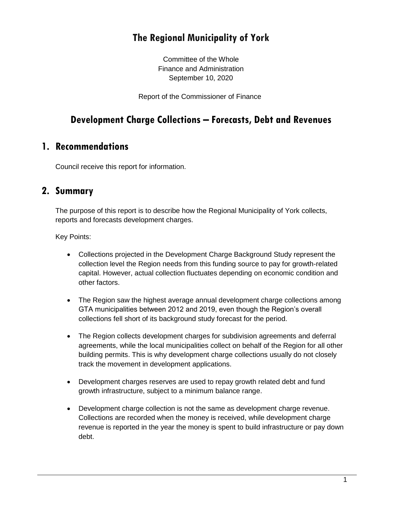# **The Regional Municipality of York**

Committee of the Whole Finance and Administration September 10, 2020

Report of the Commissioner of Finance

## **Development Charge Collections – Forecasts, Debt and Revenues**

## **1. Recommendations**

Council receive this report for information.

### **2. Summary**

The purpose of this report is to describe how the Regional Municipality of York collects, reports and forecasts development charges.

Key Points:

- Collections projected in the Development Charge Background Study represent the collection level the Region needs from this funding source to pay for growth-related capital. However, actual collection fluctuates depending on economic condition and other factors.
- The Region saw the highest average annual development charge collections among GTA municipalities between 2012 and 2019, even though the Region's overall collections fell short of its background study forecast for the period.
- The Region collects development charges for subdivision agreements and deferral agreements, while the local municipalities collect on behalf of the Region for all other building permits. This is why development charge collections usually do not closely track the movement in development applications.
- Development charges reserves are used to repay growth related debt and fund growth infrastructure, subject to a minimum balance range.
- Development charge collection is not the same as development charge revenue. Collections are recorded when the money is received, while development charge revenue is reported in the year the money is spent to build infrastructure or pay down debt.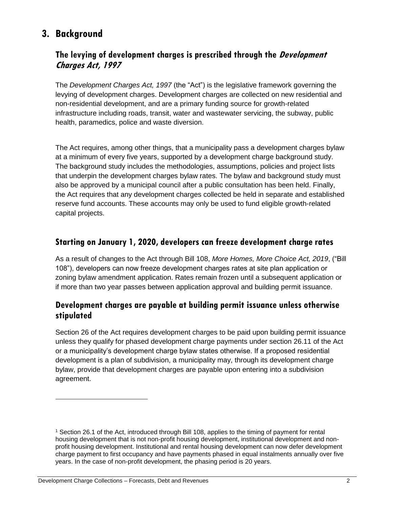# **3. Background**

### **The levying of development charges is prescribed through the Development Charges Act, 1997**

The *Development Charges Act, 1997* (the "Act") is the legislative framework governing the levying of development charges. Development charges are collected on new residential and non-residential development, and are a primary funding source for growth-related infrastructure including roads, transit, water and wastewater servicing, the subway, public health, paramedics, police and waste diversion.

The Act requires, among other things, that a municipality pass a development charges bylaw at a minimum of every five years, supported by a development charge background study. The background study includes the methodologies, assumptions, policies and project lists that underpin the development charges bylaw rates. The bylaw and background study must also be approved by a municipal council after a public consultation has been held. Finally, the Act requires that any development charges collected be held in separate and established reserve fund accounts. These accounts may only be used to fund eligible growth-related capital projects.

### **Starting on January 1, 2020, developers can freeze development charge rates**

As a result of changes to the Act through Bill 108, *More Homes, More Choice Act, 2019*, ("Bill 108"), developers can now freeze development charges rates at site plan application or zoning bylaw amendment application. Rates remain frozen until a subsequent application or if more than two year passes between application approval and building permit issuance.

### **Development charges are payable at building permit issuance unless otherwise stipulated**

Section 26 of the Act requires development charges to be paid upon building permit issuance unless they qualify for phased development charge payments under section 26.11 of the Act or a municipality's development charge bylaw states otherwise. If a proposed residential development is a plan of subdivision, a municipality may, through its development charge bylaw, provide that development charges are payable upon entering into a subdivision agreement.

<sup>1</sup> Section 26.1 of the Act, introduced through Bill 108, applies to the timing of payment for rental housing development that is not non-profit housing development, institutional development and nonprofit housing development. Institutional and rental housing development can now defer development charge payment to first occupancy and have payments phased in equal instalments annually over five years. In the case of non-profit development, the phasing period is 20 years.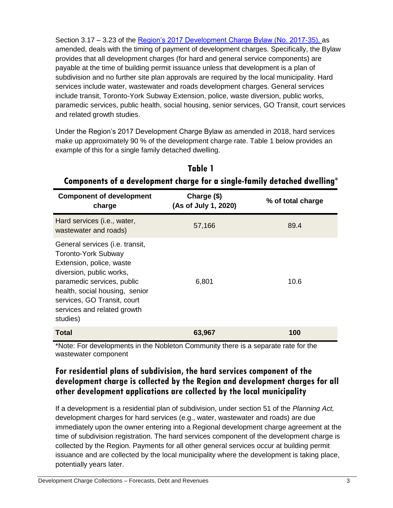Section 3.17 – 3.23 of the [Region's 2017 Development Charge Bylaw \(No. 2017-35\),](http://www.york.ca/wps/portal/yorkhome/yorkregion/yr/bylaws/developmentchargesbylaw/!ut/p/a1/rVRNT4NAEP0tHnokO3xsWY4raoGm1FiNwKUBypctH4W1ir_eLfVk0mLN7m1m37y8N5M8FCAPBVV4KLKQFXUV7o51MF3bdGZb1hycpUZMoLCkjqITIHOdA3wOgDOPwjCvKNrUkk1wwFoSsB_0R3xHLBnmCnpFAQriijU#.W0UVDtVKhhF) as amended, deals with the timing of payment of development charges. Specifically, the Bylaw provides that all development charges (for hard and general service components) are payable at the time of building permit issuance unless that development is a plan of subdivision and no further site plan approvals are required by the local municipality. Hard services include water, wastewater and roads development charges. General services include transit, Toronto-York Subway Extension, police, waste diversion, public works, paramedic services, public health, social housing, senior services, GO Transit, court services and related growth studies.

Under the Region's 2017 Development Charge Bylaw as amended in 2018, hard services make up approximately 90 % of the development charge rate. Table 1 below provides an example of this for a single family detached dwelling.

| Components of a development charge for a single-family detached dwelling*                                                                                                                                                                                       |                                     |                   |  |  |  |
|-----------------------------------------------------------------------------------------------------------------------------------------------------------------------------------------------------------------------------------------------------------------|-------------------------------------|-------------------|--|--|--|
| <b>Component of development</b><br>charge                                                                                                                                                                                                                       | Charge (\$)<br>(As of July 1, 2020) | % of total charge |  |  |  |
| Hard services (i.e., water,<br>wastewater and roads)                                                                                                                                                                                                            | 57,166                              | 89.4              |  |  |  |
| General services (i.e. transit,<br><b>Toronto-York Subway</b><br>Extension, police, waste<br>diversion, public works,<br>paramedic services, public<br>health, social housing, senior<br>services, GO Transit, court<br>services and related growth<br>studies) | 6,801                               | 10.6              |  |  |  |
| Total                                                                                                                                                                                                                                                           | 63,967                              | 100               |  |  |  |

**Table 1**

\*Note: For developments in the Nobleton Community there is a separate rate for the wastewater component

### **For residential plans of subdivision, the hard services component of the development charge is collected by the Region and development charges for all other development applications are collected by the local municipality**

If a development is a residential plan of subdivision, under section 51 of the *Planning Act,*  development charges for hard services (e.g., water, wastewater and roads) are due immediately upon the owner entering into a Regional development charge agreement at the time of subdivision registration. The hard services component of the development charge is collected by the Region. Payments for all other general services occur at building permit issuance and are collected by the local municipality where the development is taking place, potentially years later.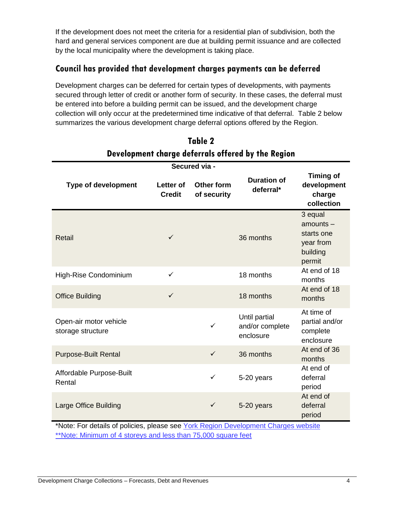If the development does not meet the criteria for a residential plan of subdivision, both the hard and general services component are due at building permit issuance and are collected by the local municipality where the development is taking place.

### **Council has provided that development charges payments can be deferred**

Development charges can be deferred for certain types of developments, with payments secured through letter of credit or another form of security. In these cases, the deferral must be entered into before a building permit can be issued, and the development charge collection will only occur at the predetermined time indicative of that deferral. Table 2 below summarizes the various development charge deferral options offered by the Region.

| <b>Type of development</b>                                                         | Letter of<br><b>Credit</b> | Other form<br>of security | <b>Duration of</b><br>deferral*               | <b>Timing of</b><br>development<br>charge<br>collection                 |
|------------------------------------------------------------------------------------|----------------------------|---------------------------|-----------------------------------------------|-------------------------------------------------------------------------|
| <b>Retail</b>                                                                      | $\checkmark$               |                           | 36 months                                     | 3 equal<br>$amounts -$<br>starts one<br>year from<br>building<br>permit |
| High-Rise Condominium                                                              | $\checkmark$               |                           | 18 months                                     | At end of 18<br>months                                                  |
| <b>Office Building</b>                                                             | $\checkmark$               |                           | 18 months                                     | At end of 18<br>months                                                  |
| Open-air motor vehicle<br>storage structure                                        |                            | $\checkmark$              | Until partial<br>and/or complete<br>enclosure | At time of<br>partial and/or<br>complete<br>enclosure                   |
| <b>Purpose-Built Rental</b>                                                        |                            | $\checkmark$              | 36 months                                     | At end of 36<br>months                                                  |
| Affordable Purpose-Built<br>Rental                                                 |                            | $\checkmark$              | 5-20 years                                    | At end of<br>deferral<br>period                                         |
| Large Office Building                                                              |                            | $\checkmark$              | 5-20 years                                    | At end of<br>deferral<br>period                                         |
| *Note: For details of policies, please see York Region Development Charges website |                            |                           |                                               |                                                                         |

| Table 2                                            |
|----------------------------------------------------|
| Development charge deferrals offered by the Region |

\*Note: For details of policies, please see [York Region Development Charges website](https://www.york.ca/wps/portal/yorkhome/business/yr/landdevelopment/developmentcharges/!ut/p/z0/fY29DoIwFIWfxYHR3AaJsjbECBjCinchFSpUoIW2oLy9yGSMcTvfyfkBhAxQsklUzAolWbvwBfd5RE9RGJ5JnHp-QChJaewefHLceRAD_g8sC-I-DEgBCyUtf1rIZp2vWlqHzEo3Cxgr7Lgateq4Q66jEZIb45CW#.Xv5vrJhKjIU) \*\*Note: Minimum of 4 storeys and less than 75,000 square feet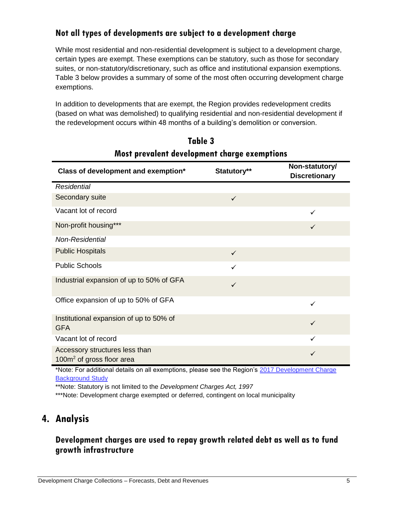### **Not all types of developments are subject to a development charge**

While most residential and non-residential development is subject to a development charge, certain types are exempt. These exemptions can be statutory, such as those for secondary suites, or non-statutory/discretionary, such as office and institutional expansion exemptions. Table 3 below provides a summary of some of the most often occurring development charge exemptions.

In addition to developments that are exempt, the Region provides redevelopment credits (based on what was demolished) to qualifying residential and non-residential development if the redevelopment occurs within 48 months of a building's demolition or conversion.

| Class of development and exemption*                            | Statutory**  | Non-statutory/<br><b>Discretionary</b> |
|----------------------------------------------------------------|--------------|----------------------------------------|
| Residential                                                    |              |                                        |
| Secondary suite                                                | $\checkmark$ |                                        |
| Vacant lot of record                                           |              | ✓                                      |
| Non-profit housing***                                          |              | $\checkmark$                           |
| Non-Residential                                                |              |                                        |
| <b>Public Hospitals</b>                                        | $\checkmark$ |                                        |
| <b>Public Schools</b>                                          | ✓            |                                        |
| Industrial expansion of up to 50% of GFA                       | $\checkmark$ |                                        |
| Office expansion of up to 50% of GFA                           |              | ✓                                      |
| Institutional expansion of up to 50% of<br><b>GFA</b>          |              | $\checkmark$                           |
| Vacant lot of record                                           |              | ✓                                      |
| Accessory structures less than<br>100 $m2$ of gross floor area |              | ✓                                      |

**Table 3 Most prevalent development charge exemptions**

\*Note: For additional details on all exemptions, please see the Region's [2017 Development Charge](https://www.york.ca/wps/wcm/connect/yorkpublic/e5a9ca02-e4b7-4a19-866a-f6dbe5167ea6/May+2017+-+The+Regional+Municipality+of+York+Approved+2017+Development+Charge+Background+Study.pdf?MOD=AJPERES&CVID=mu8L1bd)  **[Background](https://www.york.ca/wps/wcm/connect/yorkpublic/e5a9ca02-e4b7-4a19-866a-f6dbe5167ea6/May+2017+-+The+Regional+Municipality+of+York+Approved+2017+Development+Charge+Background+Study.pdf?MOD=AJPERES&CVID=mu8L1bd) Study** 

\*\*Note: Statutory is not limited to the *Development Charges Act, 1997*

\*\*\*Note: Development charge exempted or deferred, contingent on local municipality

## **4. Analysis**

### **Development charges are used to repay growth related debt as well as to fund growth infrastructure**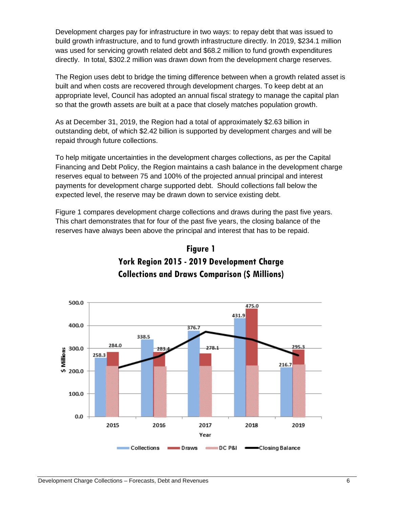Development charges pay for infrastructure in two ways: to repay debt that was issued to build growth infrastructure, and to fund growth infrastructure directly. In 2019, \$234.1 million was used for servicing growth related debt and \$68.2 million to fund growth expenditures directly. In total, \$302.2 million was drawn down from the development charge reserves.

The Region uses debt to bridge the timing difference between when a growth related asset is built and when costs are recovered through development charges. To keep debt at an appropriate level, Council has adopted an annual fiscal strategy to manage the capital plan so that the growth assets are built at a pace that closely matches population growth.

As at December 31, 2019, the Region had a total of approximately \$2.63 billion in outstanding debt, of which \$2.42 billion is supported by development charges and will be repaid through future collections.

To help mitigate uncertainties in the development charges collections, as per the Capital Financing and Debt Policy, the Region maintains a cash balance in the development charge reserves equal to between 75 and 100% of the projected annual principal and interest payments for development charge supported debt. Should collections fall below the expected level, the reserve may be drawn down to service existing debt.

Figure 1 compares development charge collections and draws during the past five years. This chart demonstrates that for four of the past five years, the closing balance of the reserves have always been above the principal and interest that has to be repaid.



# **Figure 1 York Region 2015 - 2019 Development Charge Collections and Draws Comparison (\$ Millions)**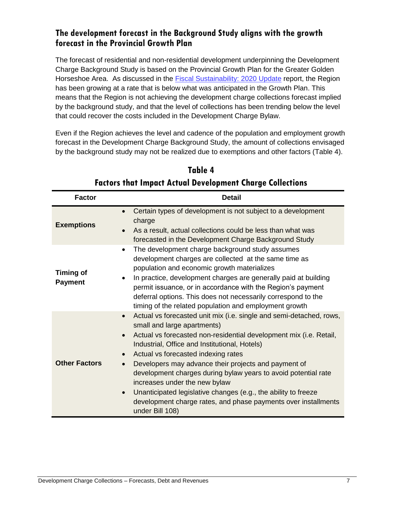### **The development forecast in the Background Study aligns with the growth forecast in the Provincial Growth Plan**

The forecast of residential and non-residential development underpinning the Development Charge Background Study is based on the Provincial Growth Plan for the Greater Golden Horseshoe Area. As discussed in the [Fiscal Sustainability: 2020 Update](https://yorkpublishing.escribemeetings.com/filestream.ashx?DocumentId=13051) report, the Region has been growing at a rate that is below what was anticipated in the Growth Plan. This means that the Region is not achieving the development charge collections forecast implied by the background study, and that the level of collections has been trending below the level that could recover the costs included in the Development Charge Bylaw.

Even if the Region achieves the level and cadence of the population and employment growth forecast in the Development Charge Background Study, the amount of collections envisaged by the background study may not be realized due to exemptions and other factors (Table 4).

| <b>Factor</b>                      | <b>Detail</b>                                                                                                                                                                                                                                                                                                                                                                                                                                                                                                                                                                                                                                       |
|------------------------------------|-----------------------------------------------------------------------------------------------------------------------------------------------------------------------------------------------------------------------------------------------------------------------------------------------------------------------------------------------------------------------------------------------------------------------------------------------------------------------------------------------------------------------------------------------------------------------------------------------------------------------------------------------------|
| <b>Exemptions</b>                  | Certain types of development is not subject to a development<br>$\bullet$<br>charge<br>As a result, actual collections could be less than what was<br>$\bullet$<br>forecasted in the Development Charge Background Study                                                                                                                                                                                                                                                                                                                                                                                                                            |
| <b>Timing of</b><br><b>Payment</b> | The development charge background study assumes<br>٠<br>development charges are collected at the same time as<br>population and economic growth materializes<br>In practice, development charges are generally paid at building<br>٠<br>permit issuance, or in accordance with the Region's payment<br>deferral options. This does not necessarily correspond to the<br>timing of the related population and employment growth                                                                                                                                                                                                                      |
| <b>Other Factors</b>               | Actual vs forecasted unit mix (i.e. single and semi-detached, rows,<br>$\bullet$<br>small and large apartments)<br>Actual vs forecasted non-residential development mix (i.e. Retail,<br>$\bullet$<br>Industrial, Office and Institutional, Hotels)<br>Actual vs forecasted indexing rates<br>$\bullet$<br>Developers may advance their projects and payment of<br>$\bullet$<br>development charges during bylaw years to avoid potential rate<br>increases under the new bylaw<br>Unanticipated legislative changes (e.g., the ability to freeze<br>$\bullet$<br>development charge rates, and phase payments over installments<br>under Bill 108) |

**Table 4 Factors that Impact Actual Development Charge Collections**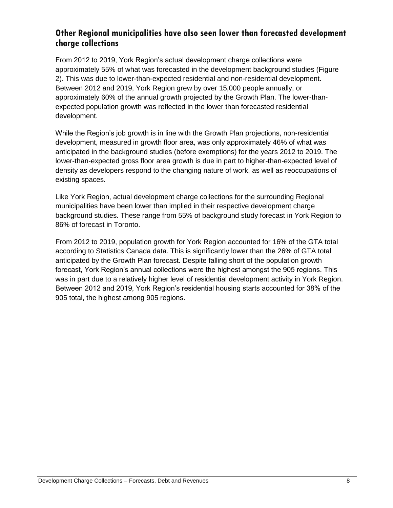### **Other Regional municipalities have also seen lower than forecasted development charge collections**

From 2012 to 2019, York Region's actual development charge collections were approximately 55% of what was forecasted in the development background studies (Figure 2). This was due to lower-than-expected residential and non-residential development. Between 2012 and 2019, York Region grew by over 15,000 people annually, or approximately 60% of the annual growth projected by the Growth Plan. The lower-thanexpected population growth was reflected in the lower than forecasted residential development.

While the Region's job growth is in line with the Growth Plan projections, non-residential development, measured in growth floor area, was only approximately 46% of what was anticipated in the background studies (before exemptions) for the years 2012 to 2019. The lower-than-expected gross floor area growth is due in part to higher-than-expected level of density as developers respond to the changing nature of work, as well as reoccupations of existing spaces.

Like York Region, actual development charge collections for the surrounding Regional municipalities have been lower than implied in their respective development charge background studies. These range from 55% of background study forecast in York Region to 86% of forecast in Toronto.

From 2012 to 2019, population growth for York Region accounted for 16% of the GTA total according to Statistics Canada data. This is significantly lower than the 26% of GTA total anticipated by the Growth Plan forecast. Despite falling short of the population growth forecast, York Region's annual collections were the highest amongst the 905 regions. This was in part due to a relatively higher level of residential development activity in York Region. Between 2012 and 2019, York Region's residential housing starts accounted for 38% of the 905 total, the highest among 905 regions.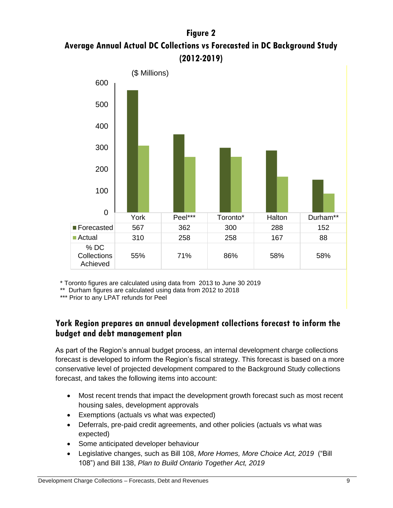**Figure 2 Average Annual Actual DC Collections vs Forecasted in DC Background Study (2012-2019)**



\* Toronto figures are calculated using data from 2013 to June 30 2019

\*\* Durham figures are calculated using data from 2012 to 2018

\*\*\* Prior to any LPAT refunds for Peel

### **York Region prepares an annual development collections forecast to inform the budget and debt management plan**

As part of the Region's annual budget process, an internal development charge collections forecast is developed to inform the Region's fiscal strategy. This forecast is based on a more conservative level of projected development compared to the Background Study collections forecast, and takes the following items into account:

- Most recent trends that impact the development growth forecast such as most recent housing sales, development approvals
- Exemptions (actuals vs what was expected)
- Deferrals, pre-paid credit agreements, and other policies (actuals vs what was expected)
- Some anticipated developer behaviour
- Legislative changes, such as Bill 108, *More Homes, More Choice Act, 2019* ("Bill 108") and Bill 138, *Plan to Build Ontario Together Act, 2019*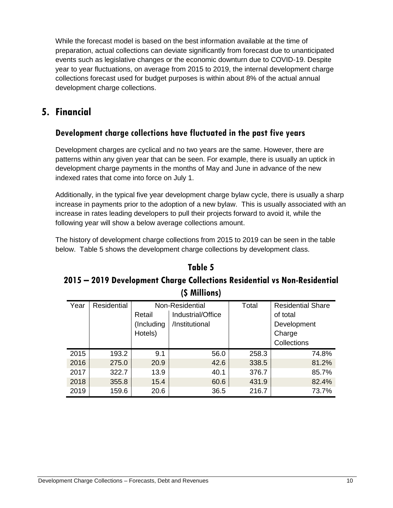While the forecast model is based on the best information available at the time of preparation, actual collections can deviate significantly from forecast due to unanticipated events such as legislative changes or the economic downturn due to COVID-19. Despite year to year fluctuations, on average from 2015 to 2019, the internal development charge collections forecast used for budget purposes is within about 8% of the actual annual development charge collections.

### **5. Financial**

### **Development charge collections have fluctuated in the past five years**

Development charges are cyclical and no two years are the same. However, there are patterns within any given year that can be seen. For example, there is usually an uptick in development charge payments in the months of May and June in advance of the new indexed rates that come into force on July 1.

Additionally, in the typical five year development charge bylaw cycle, there is usually a sharp increase in payments prior to the adoption of a new bylaw. This is usually associated with an increase in rates leading developers to pull their projects forward to avoid it, while the following year will show a below average collections amount.

The history of development charge collections from 2015 to 2019 can be seen in the table below. Table 5 shows the development charge collections by development class.

| Year | Residential | Non-Residential |                   | Total | <b>Residential Share</b> |
|------|-------------|-----------------|-------------------|-------|--------------------------|
|      |             | Retail          | Industrial/Office |       | of total                 |
|      |             | (Including      | /Institutional    |       | Development              |
|      |             | Hotels)         |                   |       | Charge                   |
|      |             |                 |                   |       | Collections              |
| 2015 | 193.2       | 9.1             | 56.0              | 258.3 | 74.8%                    |
| 2016 | 275.0       | 20.9            | 42.6              | 338.5 | 81.2%                    |
| 2017 | 322.7       | 13.9            | 40.1              | 376.7 | 85.7%                    |
| 2018 | 355.8       | 15.4            | 60.6              | 431.9 | 82.4%                    |
| 2019 | 159.6       | 20.6            | 36.5              | 216.7 | 73.7%                    |

### **Table 5**

### **2015 – 2019 Development Charge Collections Residential vs Non-Residential (\$ Millions)**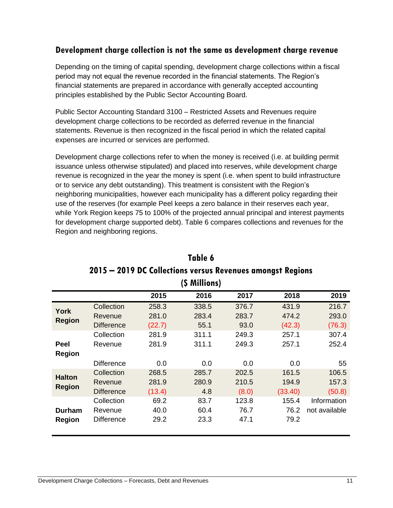### **Development charge collection is not the same as development charge revenue**

Depending on the timing of capital spending, development charge collections within a fiscal period may not equal the revenue recorded in the financial statements. The Region's financial statements are prepared in accordance with generally accepted accounting principles established by the Public Sector Accounting Board.

Public Sector Accounting Standard 3100 – Restricted Assets and Revenues require development charge collections to be recorded as deferred revenue in the financial statements. Revenue is then recognized in the fiscal period in which the related capital expenses are incurred or services are performed.

Development charge collections refer to when the money is received (i.e. at building permit issuance unless otherwise stipulated) and placed into reserves, while development charge revenue is recognized in the year the money is spent (i.e. when spent to build infrastructure or to service any debt outstanding). This treatment is consistent with the Region's neighboring municipalities, however each municipality has a different policy regarding their use of the reserves (for example Peel keeps a zero balance in their reserves each year, while York Region keeps 75 to 100% of the projected annual principal and interest payments for development charge supported debt). Table 6 compares collections and revenues for the Region and neighboring regions.

| (\$ Millions)                  |                   |        |       |       |         |               |
|--------------------------------|-------------------|--------|-------|-------|---------|---------------|
|                                |                   | 2015   | 2016  | 2017  | 2018    | 2019          |
| <b>York</b><br><b>Region</b>   | Collection        | 258.3  | 338.5 | 376.7 | 431.9   | 216.7         |
|                                | Revenue           | 281.0  | 283.4 | 283.7 | 474.2   | 293.0         |
|                                | Difference        | (22.7) | 55.1  | 93.0  | (42.3)  | (76.3)        |
| <b>Peel</b><br>Region          | Collection        | 281.9  | 311.1 | 249.3 | 257.1   | 307.4         |
|                                | Revenue           | 281.9  | 311.1 | 249.3 | 257.1   | 252.4         |
|                                | Difference        | 0.0    | 0.0   | 0.0   | 0.0     | 55            |
| <b>Halton</b>                  | Collection        | 268.5  | 285.7 | 202.5 | 161.5   | 106.5         |
| <b>Region</b>                  | Revenue           | 281.9  | 280.9 | 210.5 | 194.9   | 157.3         |
|                                | <b>Difference</b> | (13.4) | 4.8   | (8.0) | (33.40) | (50.8)        |
| <b>Durham</b><br><b>Region</b> | Collection        | 69.2   | 83.7  | 123.8 | 155.4   | Information   |
|                                | Revenue           | 40.0   | 60.4  | 76.7  | 76.2    | not available |
|                                | <b>Difference</b> | 29.2   | 23.3  | 47.1  | 79.2    |               |

# **Table 6 2015 – 2019 DC Collections versus Revenues amongst Regions**